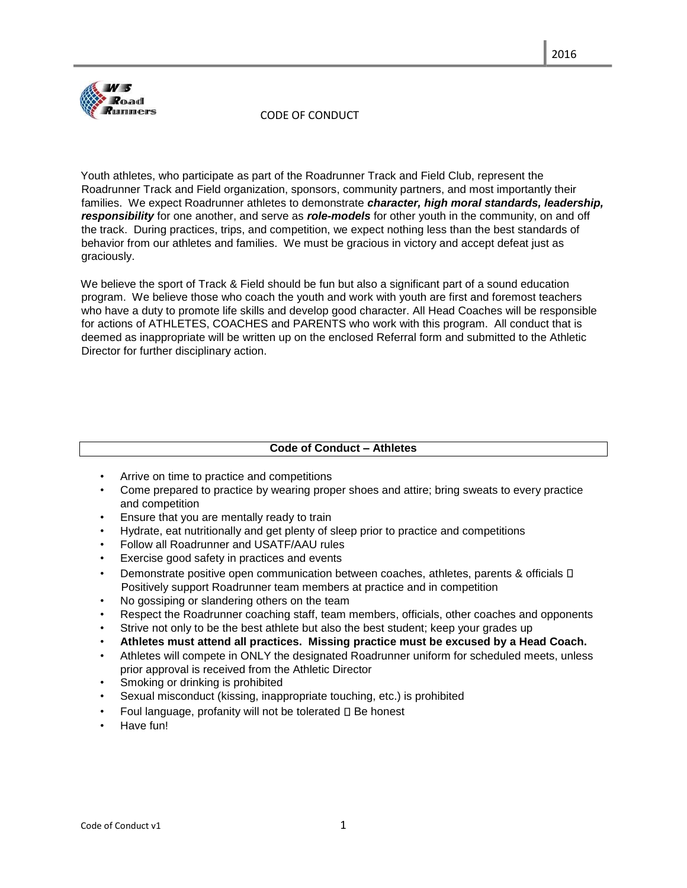

#### CODE OF CONDUCT

Youth athletes, who participate as part of the Roadrunner Track and Field Club, represent the Roadrunner Track and Field organization, sponsors, community partners, and most importantly their families. We expect Roadrunner athletes to demonstrate *character, high moral standards, leadership, responsibility* for one another, and serve as *role-models* for other youth in the community, on and off the track. During practices, trips, and competition, we expect nothing less than the best standards of behavior from our athletes and families. We must be gracious in victory and accept defeat just as graciously.

We believe the sport of Track & Field should be fun but also a significant part of a sound education program. We believe those who coach the youth and work with youth are first and foremost teachers who have a duty to promote life skills and develop good character. All Head Coaches will be responsible for actions of ATHLETES, COACHES and PARENTS who work with this program. All conduct that is deemed as inappropriate will be written up on the enclosed Referral form and submitted to the Athletic Director for further disciplinary action.

### **Code of Conduct – Athletes**

- Arrive on time to practice and competitions
- Come prepared to practice by wearing proper shoes and attire; bring sweats to every practice and competition
- Ensure that you are mentally ready to train
- Hydrate, eat nutritionally and get plenty of sleep prior to practice and competitions
- Follow all Roadrunner and USATF/AAU rules
- Exercise good safety in practices and events
- Demonstrate positive open communication between coaches, athletes, parents & officials  $\square$ Positively support Roadrunner team members at practice and in competition
- No gossiping or slandering others on the team
- Respect the Roadrunner coaching staff, team members, officials, other coaches and opponents
- Strive not only to be the best athlete but also the best student; keep your grades up
- **Athletes must attend all practices. Missing practice must be excused by a Head Coach.**
- Athletes will compete in ONLY the designated Roadrunner uniform for scheduled meets, unless prior approval is received from the Athletic Director
- Smoking or drinking is prohibited
- Sexual misconduct (kissing, inappropriate touching, etc.) is prohibited
- Foul language, profanity will not be tolerated  $\square$  Be honest
- Have fun!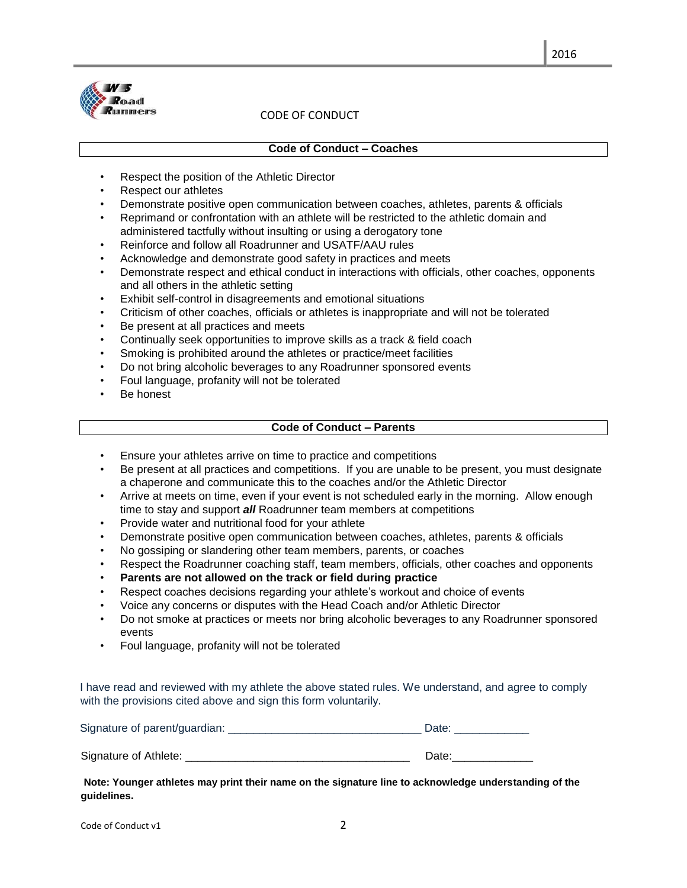

# CODE OF CONDUCT

#### **Code of Conduct – Coaches**

- Respect the position of the Athletic Director
- Respect our athletes
- Demonstrate positive open communication between coaches, athletes, parents & officials
- Reprimand or confrontation with an athlete will be restricted to the athletic domain and administered tactfully without insulting or using a derogatory tone
- Reinforce and follow all Roadrunner and USATF/AAU rules
- Acknowledge and demonstrate good safety in practices and meets
- Demonstrate respect and ethical conduct in interactions with officials, other coaches, opponents and all others in the athletic setting
- Exhibit self-control in disagreements and emotional situations
- Criticism of other coaches, officials or athletes is inappropriate and will not be tolerated
- Be present at all practices and meets
- Continually seek opportunities to improve skills as a track & field coach
- Smoking is prohibited around the athletes or practice/meet facilities
- Do not bring alcoholic beverages to any Roadrunner sponsored events
- Foul language, profanity will not be tolerated
- Be honest

# **Code of Conduct – Parents**

- Ensure your athletes arrive on time to practice and competitions
- Be present at all practices and competitions. If you are unable to be present, you must designate a chaperone and communicate this to the coaches and/or the Athletic Director
- Arrive at meets on time, even if your event is not scheduled early in the morning. Allow enough time to stay and support *all* Roadrunner team members at competitions
- Provide water and nutritional food for your athlete
- Demonstrate positive open communication between coaches, athletes, parents & officials
- No gossiping or slandering other team members, parents, or coaches
- Respect the Roadrunner coaching staff, team members, officials, other coaches and opponents
- **Parents are not allowed on the track or field during practice**
- Respect coaches decisions regarding your athlete's workout and choice of events
- Voice any concerns or disputes with the Head Coach and/or Athletic Director
- Do not smoke at practices or meets nor bring alcoholic beverages to any Roadrunner sponsored events
- Foul language, profanity will not be tolerated

I have read and reviewed with my athlete the above stated rules. We understand, and agree to comply with the provisions cited above and sign this form voluntarily.

| Signature of parent/guardian: | Date: |
|-------------------------------|-------|
|                               |       |

Signature of Athlete: **Example 2018** Signature of Athlete:

**Note: Younger athletes may print their name on the signature line to acknowledge understanding of the guidelines.**

Code of Conduct v1 2